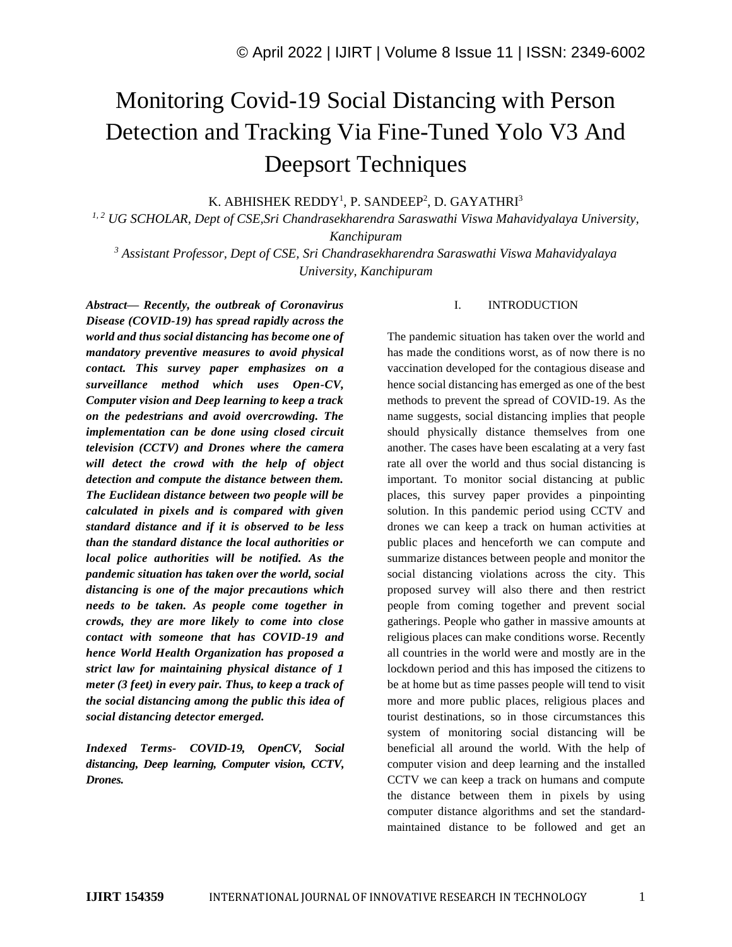# Monitoring Covid-19 Social Distancing with Person Detection and Tracking Via Fine-Tuned Yolo V3 And Deepsort Techniques

K. ABHISHEK REDDY<sup>1</sup>, P. SANDEEP<sup>2</sup>, D. GAYATHRI<sup>3</sup>

*1, 2 UG SCHOLAR, Dept of CSE,Sri Chandrasekharendra Saraswathi Viswa Mahavidyalaya University, Kanchipuram*

*<sup>3</sup> Assistant Professor, Dept of CSE, Sri Chandrasekharendra Saraswathi Viswa Mahavidyalaya University, Kanchipuram*

*Abstract— Recently, the outbreak of Coronavirus Disease (COVID-19) has spread rapidly across the world and thus social distancing has become one of mandatory preventive measures to avoid physical contact. This survey paper emphasizes on a surveillance method which uses Open-CV, Computer vision and Deep learning to keep a track on the pedestrians and avoid overcrowding. The implementation can be done using closed circuit television (CCTV) and Drones where the camera will detect the crowd with the help of object detection and compute the distance between them. The Euclidean distance between two people will be calculated in pixels and is compared with given standard distance and if it is observed to be less than the standard distance the local authorities or local police authorities will be notified. As the pandemic situation has taken over the world, social distancing is one of the major precautions which needs to be taken. As people come together in crowds, they are more likely to come into close contact with someone that has COVID-19 and hence World Health Organization has proposed a strict law for maintaining physical distance of 1 meter (3 feet) in every pair. Thus, to keep a track of the social distancing among the public this idea of social distancing detector emerged.*

*Indexed Terms- COVID-19, OpenCV, Social distancing, Deep learning, Computer vision, CCTV, Drones.*

#### I. INTRODUCTION

The pandemic situation has taken over the world and has made the conditions worst, as of now there is no vaccination developed for the contagious disease and hence social distancing has emerged as one of the best methods to prevent the spread of COVID-19. As the name suggests, social distancing implies that people should physically distance themselves from one another. The cases have been escalating at a very fast rate all over the world and thus social distancing is important. To monitor social distancing at public places, this survey paper provides a pinpointing solution. In this pandemic period using CCTV and drones we can keep a track on human activities at public places and henceforth we can compute and summarize distances between people and monitor the social distancing violations across the city. This proposed survey will also there and then restrict people from coming together and prevent social gatherings. People who gather in massive amounts at religious places can make conditions worse. Recently all countries in the world were and mostly are in the lockdown period and this has imposed the citizens to be at home but as time passes people will tend to visit more and more public places, religious places and tourist destinations, so in those circumstances this system of monitoring social distancing will be beneficial all around the world. With the help of computer vision and deep learning and the installed CCTV we can keep a track on humans and compute the distance between them in pixels by using computer distance algorithms and set the standardmaintained distance to be followed and get an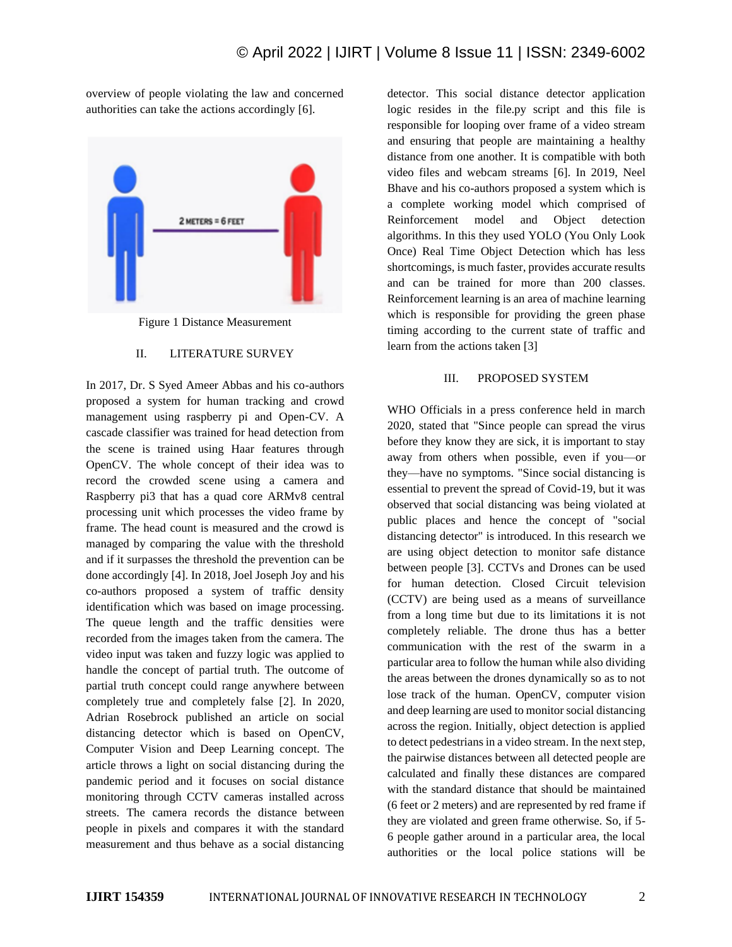overview of people violating the law and concerned authorities can take the actions accordingly [6].



Figure 1 Distance Measurement

#### II. LITERATURE SURVEY

In 2017, Dr. S Syed Ameer Abbas and his co-authors proposed a system for human tracking and crowd management using raspberry pi and Open-CV. A cascade classifier was trained for head detection from the scene is trained using Haar features through OpenCV. The whole concept of their idea was to record the crowded scene using a camera and Raspberry pi3 that has a quad core ARMv8 central processing unit which processes the video frame by frame. The head count is measured and the crowd is managed by comparing the value with the threshold and if it surpasses the threshold the prevention can be done accordingly [4]. In 2018, Joel Joseph Joy and his co-authors proposed a system of traffic density identification which was based on image processing. The queue length and the traffic densities were recorded from the images taken from the camera. The video input was taken and fuzzy logic was applied to handle the concept of partial truth. The outcome of partial truth concept could range anywhere between completely true and completely false [2]. In 2020, Adrian Rosebrock published an article on social distancing detector which is based on OpenCV, Computer Vision and Deep Learning concept. The article throws a light on social distancing during the pandemic period and it focuses on social distance monitoring through CCTV cameras installed across streets. The camera records the distance between people in pixels and compares it with the standard measurement and thus behave as a social distancing detector. This social distance detector application logic resides in the file.py script and this file is responsible for looping over frame of a video stream and ensuring that people are maintaining a healthy distance from one another. It is compatible with both video files and webcam streams [6]. In 2019, Neel Bhave and his co-authors proposed a system which is a complete working model which comprised of Reinforcement model and Object detection algorithms. In this they used YOLO (You Only Look Once) Real Time Object Detection which has less shortcomings, is much faster, provides accurate results and can be trained for more than 200 classes. Reinforcement learning is an area of machine learning which is responsible for providing the green phase timing according to the current state of traffic and learn from the actions taken [3]

## III. PROPOSED SYSTEM

WHO Officials in a press conference held in march 2020, stated that "Since people can spread the virus before they know they are sick, it is important to stay away from others when possible, even if you—or they—have no symptoms. "Since social distancing is essential to prevent the spread of Covid-19, but it was observed that social distancing was being violated at public places and hence the concept of "social distancing detector" is introduced. In this research we are using object detection to monitor safe distance between people [3]. CCTVs and Drones can be used for human detection. Closed Circuit television (CCTV) are being used as a means of surveillance from a long time but due to its limitations it is not completely reliable. The drone thus has a better communication with the rest of the swarm in a particular area to follow the human while also dividing the areas between the drones dynamically so as to not lose track of the human. OpenCV, computer vision and deep learning are used to monitor social distancing across the region. Initially, object detection is applied to detect pedestrians in a video stream. In the next step, the pairwise distances between all detected people are calculated and finally these distances are compared with the standard distance that should be maintained (6 feet or 2 meters) and are represented by red frame if they are violated and green frame otherwise. So, if 5- 6 people gather around in a particular area, the local authorities or the local police stations will be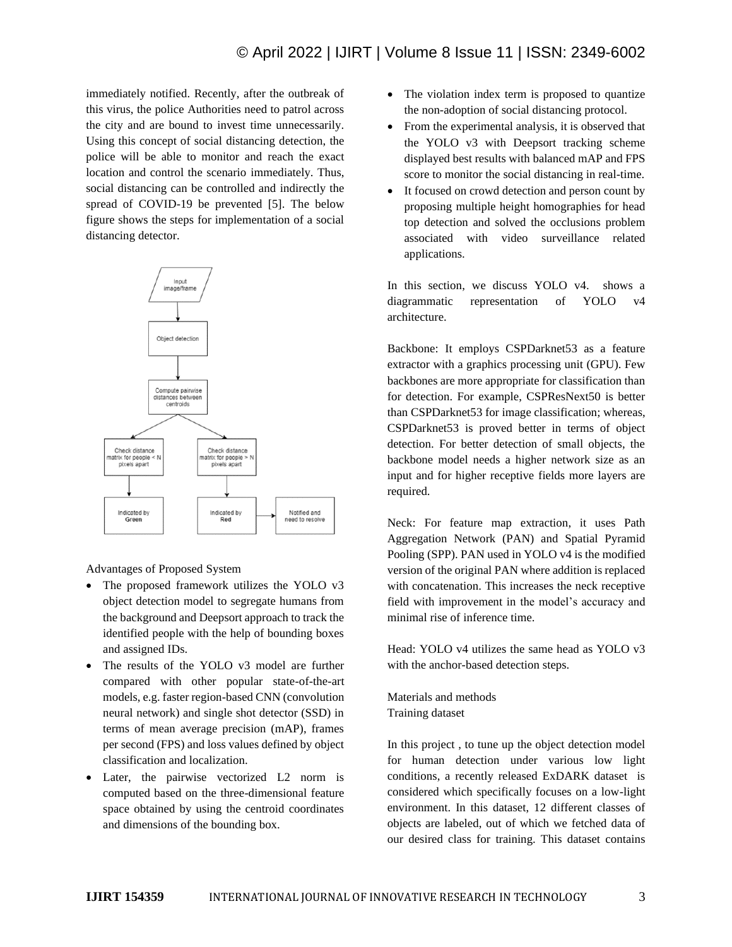immediately notified. Recently, after the outbreak of this virus, the police Authorities need to patrol across the city and are bound to invest time unnecessarily. Using this concept of social distancing detection, the police will be able to monitor and reach the exact location and control the scenario immediately. Thus, social distancing can be controlled and indirectly the spread of COVID-19 be prevented [5]. The below figure shows the steps for implementation of a social distancing detector.



Advantages of Proposed System

- The proposed framework utilizes the YOLO v3 object detection model to segregate humans from the background and Deepsort approach to track the identified people with the help of bounding boxes and assigned IDs.
- The results of the YOLO v3 model are further compared with other popular state-of-the-art models, e.g. faster region-based CNN (convolution neural network) and single shot detector (SSD) in terms of mean average precision (mAP), frames per second (FPS) and loss values defined by object classification and localization.
- Later, the pairwise vectorized L2 norm is computed based on the three-dimensional feature space obtained by using the centroid coordinates and dimensions of the bounding box.
- The violation index term is proposed to quantize the non-adoption of social distancing protocol.
- From the experimental analysis, it is observed that the YOLO v3 with Deepsort tracking scheme displayed best results with balanced mAP and FPS score to monitor the social distancing in real-time.
- It focused on crowd detection and person count by proposing multiple height homographies for head top detection and solved the occlusions problem associated with video surveillance related applications.

In this section, we discuss YOLO v4. shows a diagrammatic representation of YOLO v4 architecture.

Backbone: It employs CSPDarknet53 as a feature extractor with a graphics processing unit (GPU). Few backbones are more appropriate for classification than for detection. For example, CSPResNext50 is better than CSPDarknet53 for image classification; whereas, CSPDarknet53 is proved better in terms of object detection. For better detection of small objects, the backbone model needs a higher network size as an input and for higher receptive fields more layers are required.

Neck: For feature map extraction, it uses Path Aggregation Network (PAN) and Spatial Pyramid Pooling (SPP). PAN used in YOLO v4 is the modified version of the original PAN where addition is replaced with concatenation. This increases the neck receptive field with improvement in the model's accuracy and minimal rise of inference time.

Head: YOLO v4 utilizes the same head as YOLO v3 with the anchor-based detection steps.

Materials and methods Training dataset

In this project , to tune up the object detection model for human detection under various low light conditions, a recently released ExDARK dataset is considered which specifically focuses on a low-light environment. In this dataset, 12 different classes of objects are labeled, out of which we fetched data of our desired class for training. This dataset contains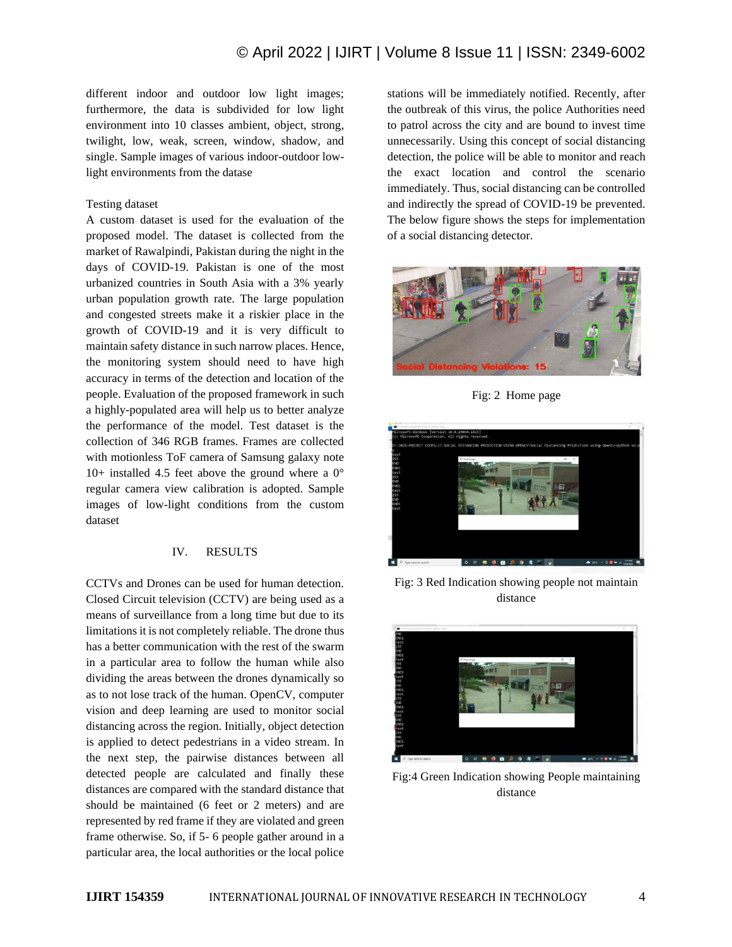different indoor and outdoor low light images; furthermore, the data is subdivided for low light environment into 10 classes ambient, object, strong, twilight, low, weak, screen, window, shadow, and single. Sample images of various indoor-outdoor lowlight environments from the datase

#### Testing dataset

A custom dataset is used for the evaluation of the proposed model. The dataset is collected from the market of Rawalpindi, Pakistan during the night in the days of COVID-19. Pakistan is one of the most urbanized countries in South Asia with a 3% yearly urban population growth rate. The large population and congested streets make it a riskier place in the growth of COVID-19 and it is very difficult to maintain safety distance in such narrow places. Hence, the monitoring system should need to have high accuracy in terms of the detection and location of the people. Evaluation of the proposed framework in such a highly-populated area will help us to better analyze the performance of the model. Test dataset is the collection of 346 RGB frames. Frames are collected with motionless ToF camera of Samsung galaxy note  $10+$  installed 4.5 feet above the ground where a  $0^{\circ}$ regular camera view calibration is adopted. Sample images of low-light conditions from the custom dataset

# IV. RESULTS

CCTVs and Drones can be used for human detection. Closed Circuit television (CCTV) are being used as a means of surveillance from a long time but due to its limitations it is not completely reliable. The drone thus has a better communication with the rest of the swarm in a particular area to follow the human while also dividing the areas between the drones dynamically so as to not lose track of the human. OpenCV, computer vision and deep learning are used to monitor social distancing across the region. Initially, object detection is applied to detect pedestrians in a video stream. In the next step, the pairwise distances between all detected people are calculated and finally these distances are compared with the standard distance that should be maintained (6 feet or 2 meters) and are represented by red frame if they are violated and green frame otherwise. So, if 5- 6 people gather around in a particular area, the local authorities or the local police

stations will be immediately notified. Recently, after the outbreak of this virus, the police Authorities need to patrol across the city and are bound to invest time unnecessarily. Using this concept of social distancing detection, the police will be able to monitor and reach the exact location and control the scenario immediately. Thus, social distancing can be controlled and indirectly the spread of COVID-19 be prevented. The below figure shows the steps for implementation of a social distancing detector.



Fig: 2 Home page



Fig: 3 Red Indication showing people not maintain distance



Fig:4 Green Indication showing People maintaining distance